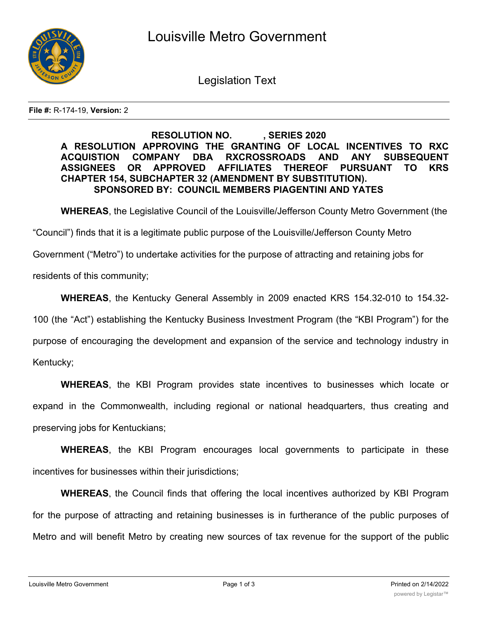

Legislation Text

**File #:** R-174-19, **Version:** 2

## **RESOLUTION NO. , SERIES 2020 A RESOLUTION APPROVING THE GRANTING OF LOCAL INCENTIVES TO RXC ACQUISTION COMPANY DBA RXCROSSROADS AND ANY SUBSEQUENT ASSIGNEES OR APPROVED AFFILIATES THEREOF PURSUANT TO KRS CHAPTER 154, SUBCHAPTER 32 (AMENDMENT BY SUBSTITUTION). SPONSORED BY: COUNCIL MEMBERS PIAGENTINI AND YATES**

**WHEREAS**, the Legislative Council of the Louisville/Jefferson County Metro Government (the

"Council") finds that it is a legitimate public purpose of the Louisville/Jefferson County Metro

Government ("Metro") to undertake activities for the purpose of attracting and retaining jobs for

residents of this community;

**WHEREAS**, the Kentucky General Assembly in 2009 enacted KRS 154.32-010 to 154.32-

100 (the "Act") establishing the Kentucky Business Investment Program (the "KBI Program") for the

purpose of encouraging the development and expansion of the service and technology industry in

Kentucky;

**WHEREAS**, the KBI Program provides state incentives to businesses which locate or expand in the Commonwealth, including regional or national headquarters, thus creating and preserving jobs for Kentuckians;

**WHEREAS**, the KBI Program encourages local governments to participate in these incentives for businesses within their jurisdictions;

**WHEREAS**, the Council finds that offering the local incentives authorized by KBI Program for the purpose of attracting and retaining businesses is in furtherance of the public purposes of Metro and will benefit Metro by creating new sources of tax revenue for the support of the public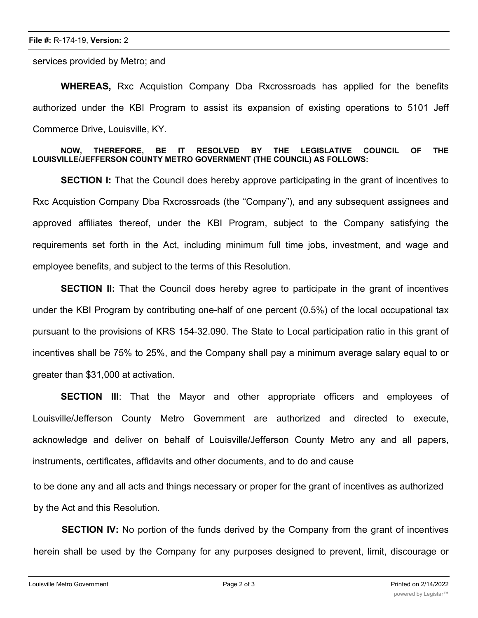services provided by Metro; and

**WHEREAS,** Rxc Acquistion Company Dba Rxcrossroads has applied for the benefits authorized under the KBI Program to assist its expansion of existing operations to 5101 Jeff Commerce Drive, Louisville, KY.

## **NOW, THEREFORE, BE IT RESOLVED BY THE LEGISLATIVE COUNCIL OF THE LOUISVILLE/JEFFERSON COUNTY METRO GOVERNMENT (THE COUNCIL) AS FOLLOWS:**

**SECTION I:** That the Council does hereby approve participating in the grant of incentives to Rxc Acquistion Company Dba Rxcrossroads (the "Company"), and any subsequent assignees and approved affiliates thereof, under the KBI Program, subject to the Company satisfying the requirements set forth in the Act, including minimum full time jobs, investment, and wage and employee benefits, and subject to the terms of this Resolution.

**SECTION II:** That the Council does hereby agree to participate in the grant of incentives under the KBI Program by contributing one-half of one percent (0.5%) of the local occupational tax pursuant to the provisions of KRS 154-32.090. The State to Local participation ratio in this grant of incentives shall be 75% to 25%, and the Company shall pay a minimum average salary equal to or greater than \$31,000 at activation.

**SECTION III**: That the Mayor and other appropriate officers and employees of Louisville/Jefferson County Metro Government are authorized and directed to execute, acknowledge and deliver on behalf of Louisville/Jefferson County Metro any and all papers, instruments, certificates, affidavits and other documents, and to do and cause

to be done any and all acts and things necessary or proper for the grant of incentives as authorized by the Act and this Resolution.

**SECTION IV:** No portion of the funds derived by the Company from the grant of incentives herein shall be used by the Company for any purposes designed to prevent, limit, discourage or